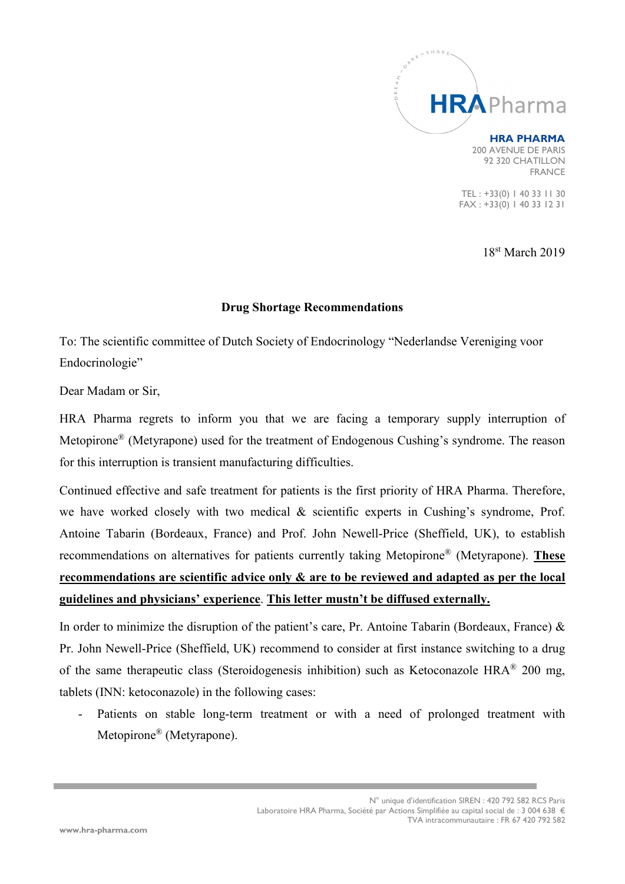

## **HRA PHARMA**

200 AVENUE DE PARIS 92 320 CHATILLON FRANCE

TEL : +33(0) 1 40 33 11 30 FAX : +33(0) 1 40 33 12 31

18st March 2019

## **Drug Shortage Recommendations**

To: The scientific committee of Dutch Society of Endocrinology "Nederlandse Vereniging voor Endocrinologie"

Dear Madam or Sir,

HRA Pharma regrets to inform you that we are facing a temporary supply interruption of Metopirone® (Metyrapone) used for the treatment of Endogenous Cushing's syndrome. The reason for this interruption is transient manufacturing difficulties.

Continued effective and safe treatment for patients is the first priority of HRA Pharma. Therefore, we have worked closely with two medical & scientific experts in Cushing's syndrome, Prof. Antoine Tabarin (Bordeaux, France) and Prof. John Newell-Price (Sheffield, UK), to establish recommendations on alternatives for patients currently taking Metopirone® (Metyrapone). **These recommendations are scientific advice only & are to be reviewed and adapted as per the local guidelines and physicians' experience**. **This letter mustn't be diffused externally.**

In order to minimize the disruption of the patient's care, Pr. Antoine Tabarin (Bordeaux, France)  $\&$ Pr. John Newell-Price (Sheffield, UK) recommend to consider at first instance switching to a drug of the same therapeutic class (Steroidogenesis inhibition) such as Ketoconazole HRA® 200 mg, tablets (INN: ketoconazole) in the following cases:

Patients on stable long-term treatment or with a need of prolonged treatment with Metopirone® (Metyrapone).

> N° unique d'identification SIREN : 420 792 582 RCS Paris Laboratoire HRA Pharma, Société par Actions Simplifiée au capital social de : 3 004 638 € TVA intracommunautaire : FR 67 420 792 582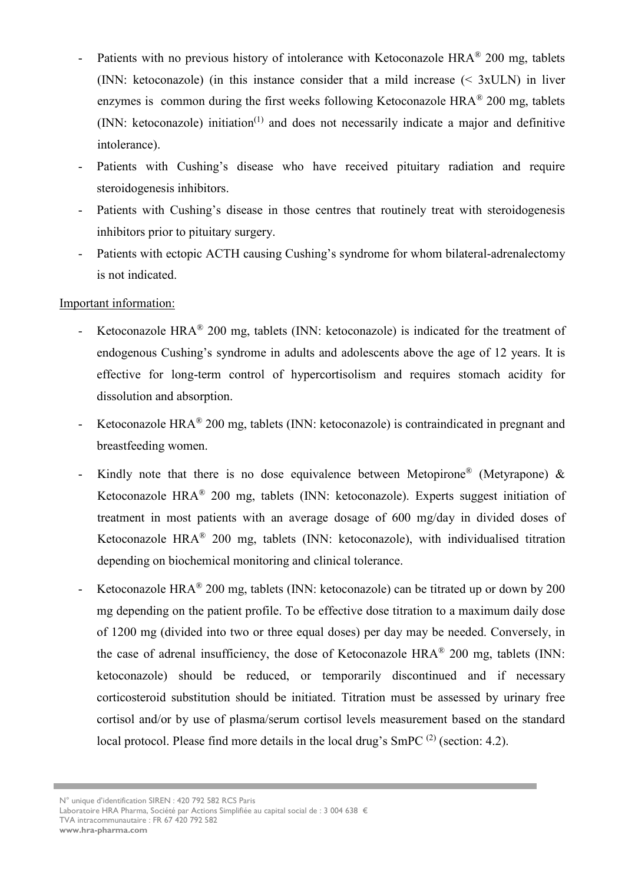- Patients with no previous history of intolerance with Ketoconazole HRA<sup>®</sup> 200 mg, tablets (INN: ketoconazole) (in this instance consider that a mild increase (< 3xULN) in liver enzymes is common during the first weeks following Ketoconazole  $HRA^{\otimes} 200$  mg, tablets  $(NN: ketoconazole)$  initiation<sup> $(1)$ </sup> and does not necessarily indicate a major and definitive intolerance).
- Patients with Cushing's disease who have received pituitary radiation and require steroidogenesis inhibitors.
- Patients with Cushing's disease in those centres that routinely treat with steroidogenesis inhibitors prior to pituitary surgery.
- Patients with ectopic ACTH causing Cushing's syndrome for whom bilateral-adrenalectomy is not indicated.

## Important information:

- Ketoconazole HRA® 200 mg, tablets (INN: ketoconazole) is indicated for the treatment of endogenous Cushing's syndrome in adults and adolescents above the age of 12 years. It is effective for long-term control of hypercortisolism and requires stomach acidity for dissolution and absorption.
- Ketoconazole HRA<sup>®</sup> 200 mg, tablets (INN: ketoconazole) is contraindicated in pregnant and breastfeeding women.
- Kindly note that there is no dose equivalence between Metopirone<sup>®</sup> (Metyrapone)  $\&$ Ketoconazole HRA® 200 mg, tablets (INN: ketoconazole). Experts suggest initiation of treatment in most patients with an average dosage of 600 mg/day in divided doses of Ketoconazole HRA® 200 mg, tablets (INN: ketoconazole), with individualised titration depending on biochemical monitoring and clinical tolerance.
- Ketoconazole HRA<sup>®</sup> 200 mg, tablets (INN: ketoconazole) can be titrated up or down by 200 mg depending on the patient profile. To be effective dose titration to a maximum daily dose of 1200 mg (divided into two or three equal doses) per day may be needed. Conversely, in the case of adrenal insufficiency, the dose of Ketoconazole HRA® 200 mg, tablets (INN: ketoconazole) should be reduced, or temporarily discontinued and if necessary corticosteroid substitution should be initiated. Titration must be assessed by urinary free cortisol and/or by use of plasma/serum cortisol levels measurement based on the standard local protocol. Please find more details in the local drug's SmPC<sup>(2)</sup> (section: 4.2).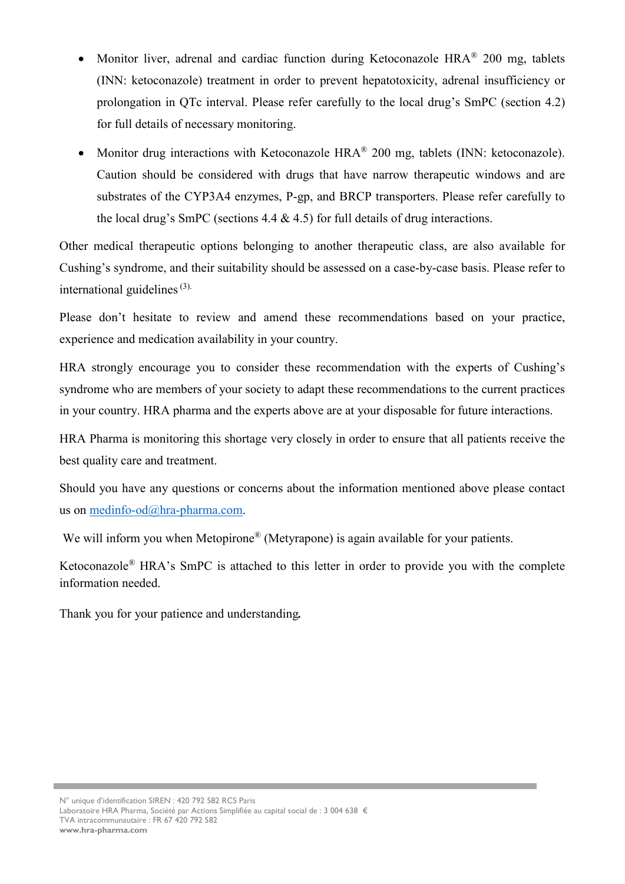- Monitor liver, adrenal and cardiac function during Ketoconazole HRA<sup>®</sup> 200 mg, tablets (INN: ketoconazole) treatment in order to prevent hepatotoxicity, adrenal insufficiency or prolongation in QTc interval. Please refer carefully to the local drug's SmPC (section 4.2) for full details of necessary monitoring.
- Monitor drug interactions with Ketoconazole HRA<sup>®</sup> 200 mg, tablets (INN: ketoconazole). Caution should be considered with drugs that have narrow therapeutic windows and are substrates of the CYP3A4 enzymes, P-gp, and BRCP transporters. Please refer carefully to the local drug's SmPC (sections 4.4  $\&$  4.5) for full details of drug interactions.

Other medical therapeutic options belonging to another therapeutic class, are also available for Cushing's syndrome, and their suitability should be assessed on a case-by-case basis. Please refer to international guidelines  $(3)$ .

Please don't hesitate to review and amend these recommendations based on your practice, experience and medication availability in your country.

HRA strongly encourage you to consider these recommendation with the experts of Cushing's syndrome who are members of your society to adapt these recommendations to the current practices in your country. HRA pharma and the experts above are at your disposable for future interactions.

HRA Pharma is monitoring this shortage very closely in order to ensure that all patients receive the best quality care and treatment.

Should you have any questions or concerns about the information mentioned above please contact us on [medinfo-od@hra-pharma.com.](mailto:medinfo-od@hra-pharma.com)

We will inform you when Metopirone<sup>®</sup> (Metyrapone) is again available for your patients.

Ketoconazole® HRA's SmPC is attached to this letter in order to provide you with the complete information needed.

Thank you for your patience and understanding*.*